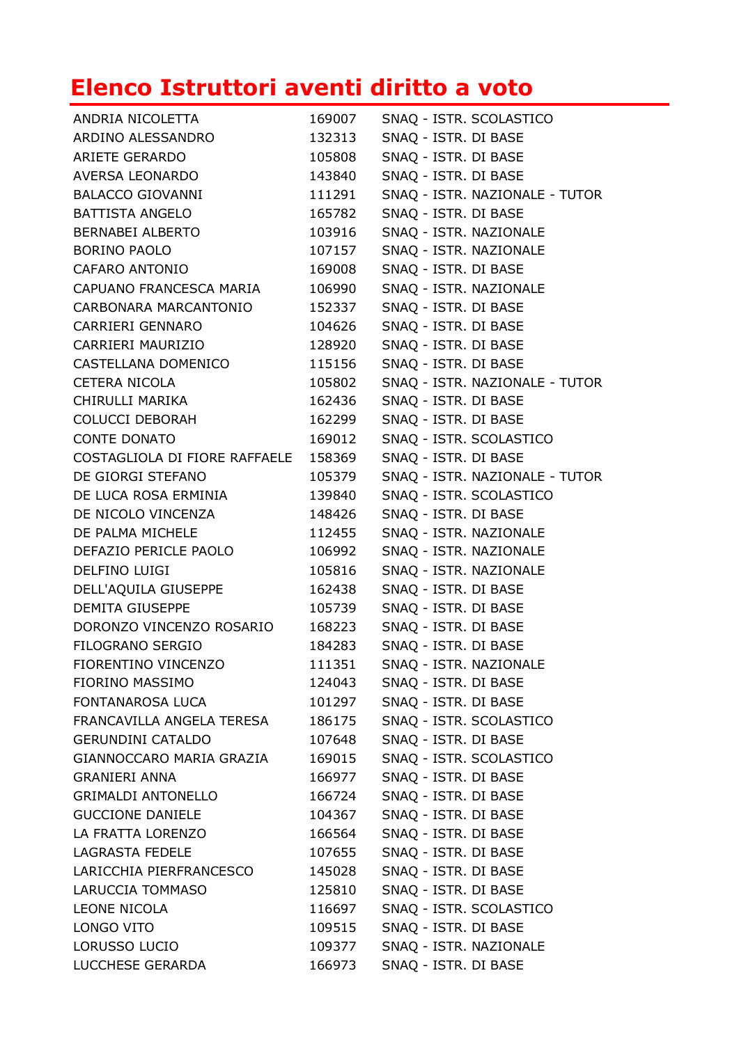## **Elenco Istruttori aventi diritto a voto**

| ANDRIA NICOLETTA              | 169007 | SNAQ - ISTR. SCOLASTICO        |
|-------------------------------|--------|--------------------------------|
| ARDINO ALESSANDRO             | 132313 | SNAQ - ISTR. DI BASE           |
| <b>ARIETE GERARDO</b>         | 105808 | SNAQ - ISTR. DI BASE           |
| AVERSA LEONARDO               | 143840 | SNAQ - ISTR. DI BASE           |
| <b>BALACCO GIOVANNI</b>       | 111291 | SNAQ - ISTR. NAZIONALE - TUTOR |
| <b>BATTISTA ANGELO</b>        | 165782 | SNAQ - ISTR. DI BASE           |
| <b>BERNABEI ALBERTO</b>       | 103916 | SNAQ - ISTR. NAZIONALE         |
| <b>BORINO PAOLO</b>           | 107157 | SNAQ - ISTR. NAZIONALE         |
| <b>CAFARO ANTONIO</b>         | 169008 | SNAQ - ISTR. DI BASE           |
| CAPUANO FRANCESCA MARIA       | 106990 | SNAQ - ISTR. NAZIONALE         |
| CARBONARA MARCANTONIO         | 152337 | SNAQ - ISTR. DI BASE           |
| <b>CARRIERI GENNARO</b>       | 104626 | SNAQ - ISTR. DI BASE           |
| CARRIERI MAURIZIO             | 128920 | SNAQ - ISTR. DI BASE           |
| CASTELLANA DOMENICO           | 115156 | SNAQ - ISTR. DI BASE           |
| <b>CETERA NICOLA</b>          | 105802 | SNAQ - ISTR. NAZIONALE - TUTOR |
| CHIRULLI MARIKA               | 162436 | SNAQ - ISTR. DI BASE           |
| <b>COLUCCI DEBORAH</b>        | 162299 | SNAQ - ISTR. DI BASE           |
| <b>CONTE DONATO</b>           | 169012 | SNAQ - ISTR. SCOLASTICO        |
| COSTAGLIOLA DI FIORE RAFFAELE | 158369 | SNAQ - ISTR. DI BASE           |
| DE GIORGI STEFANO             | 105379 | SNAQ - ISTR. NAZIONALE - TUTOR |
| DE LUCA ROSA ERMINIA          | 139840 | SNAQ - ISTR. SCOLASTICO        |
| DE NICOLO VINCENZA            | 148426 | SNAQ - ISTR. DI BASE           |
| DE PALMA MICHELE              | 112455 | SNAQ - ISTR. NAZIONALE         |
| DEFAZIO PERICLE PAOLO         | 106992 | SNAQ - ISTR. NAZIONALE         |
| DELFINO LUIGI                 | 105816 | SNAQ - ISTR. NAZIONALE         |
| DELL'AQUILA GIUSEPPE          | 162438 | SNAQ - ISTR. DI BASE           |
| <b>DEMITA GIUSEPPE</b>        | 105739 | SNAQ - ISTR. DI BASE           |
| DORONZO VINCENZO ROSARIO      | 168223 | SNAQ - ISTR. DI BASE           |
| FILOGRANO SERGIO              | 184283 | SNAQ - ISTR. DI BASE           |
| FIORENTINO VINCENZO           | 111351 | SNAQ - ISTR. NAZIONALE         |
| FIORINO MASSIMO               | 124043 | SNAQ - ISTR. DI BASE           |
| FONTANAROSA LUCA              | 101297 | SNAQ - ISTR. DI BASE           |
| FRANCAVILLA ANGELA TERESA     | 186175 | SNAQ - ISTR. SCOLASTICO        |
| <b>GERUNDINI CATALDO</b>      | 107648 | SNAQ - ISTR. DI BASE           |
| GIANNOCCARO MARIA GRAZIA      | 169015 | SNAQ - ISTR. SCOLASTICO        |
| <b>GRANIERI ANNA</b>          | 166977 | SNAQ - ISTR. DI BASE           |
| <b>GRIMALDI ANTONELLO</b>     | 166724 | SNAQ - ISTR. DI BASE           |
| <b>GUCCIONE DANIELE</b>       | 104367 | SNAQ - ISTR. DI BASE           |
| LA FRATTA LORENZO             | 166564 | SNAQ - ISTR. DI BASE           |
| LAGRASTA FEDELE               | 107655 | SNAQ - ISTR. DI BASE           |
| LARICCHIA PIERFRANCESCO       | 145028 | SNAQ - ISTR. DI BASE           |
| LARUCCIA TOMMASO              | 125810 | SNAQ - ISTR. DI BASE           |
| LEONE NICOLA                  | 116697 | SNAQ - ISTR. SCOLASTICO        |
| LONGO VITO                    | 109515 | SNAQ - ISTR. DI BASE           |
| LORUSSO LUCIO                 | 109377 | SNAQ - ISTR. NAZIONALE         |
| LUCCHESE GERARDA              | 166973 | SNAQ - ISTR. DI BASE           |